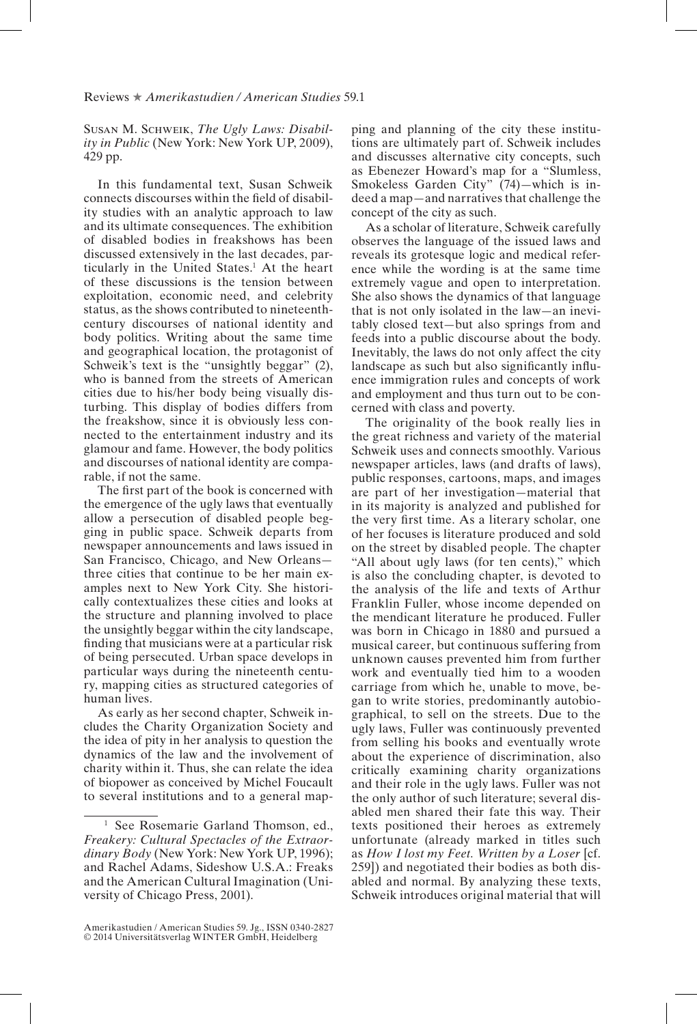Susan M. Schweik, *The Ugly Laws: Disability in Public* (New York: New York UP, 2009), 429 pp.

In this fundamental text, Susan Schweik connects discourses within the field of disability studies with an analytic approach to law and its ultimate consequences. The exhibition of disabled bodies in freakshows has been discussed extensively in the last decades, particularly in the United States.<sup>1</sup> At the heart of these discussions is the tension between exploitation, economic need, and celebrity status, as the shows contributed to nineteenthcentury discourses of national identity and body politics. Writing about the same time and geographical location, the protagonist of Schweik's text is the "unsightly beggar" (2), who is banned from the streets of American cities due to his/her body being visually disturbing. This display of bodies differs from the freakshow, since it is obviously less connected to the entertainment industry and its glamour and fame. However, the body politics and discourses of national identity are comparable, if not the same.

The first part of the book is concerned with the emergence of the ugly laws that eventually allow a persecution of disabled people begging in public space. Schweik departs from newspaper announcements and laws issued in San Francisco, Chicago, and New Orleans three cities that continue to be her main examples next to New York City. She historically contextualizes these cities and looks at the structure and planning involved to place the unsightly beggar within the city landscape, nding that musicians were at a particular risk of being persecuted. Urban space develops in particular ways during the nineteenth century, mapping cities as structured categories of human lives.

As early as her second chapter, Schweik includes the Charity Organization Society and the idea of pity in her analysis to question the dynamics of the law and the involvement of charity within it. Thus, she can relate the idea of biopower as conceived by Michel Foucault to several institutions and to a general mapping and planning of the city these institutions are ultimately part of. Schweik includes and discusses alternative city concepts, such as Ebenezer Howard's map for a "Slumless, Smokeless Garden City" (74)—which is indeed a map—and narratives that challenge the concept of the city as such.

As a scholar of literature, Schweik carefully observes the language of the issued laws and reveals its grotesque logic and medical reference while the wording is at the same time extremely vague and open to interpretation. She also shows the dynamics of that language that is not only isolated in the law—an inevitably closed text—but also springs from and feeds into a public discourse about the body. Inevitably, the laws do not only affect the city landscape as such but also significantly influence immigration rules and concepts of work and employment and thus turn out to be concerned with class and poverty.

The originality of the book really lies in the great richness and variety of the material Schweik uses and connects smoothly. Various newspaper articles, laws (and drafts of laws), public responses, cartoons, maps, and images are part of her investigation—material that in its majority is analyzed and published for the very first time. As a literary scholar, one of her focuses is literature produced and sold on the street by disabled people. The chapter "All about ugly laws (for ten cents)," which is also the concluding chapter, is devoted to the analysis of the life and texts of Arthur Franklin Fuller, whose income depended on the mendicant literature he produced. Fuller was born in Chicago in 1880 and pursued a musical career, but continuous suffering from unknown causes prevented him from further work and eventually tied him to a wooden carriage from which he, unable to move, began to write stories, predominantly autobiographical, to sell on the streets. Due to the ugly laws, Fuller was continuously prevented from selling his books and eventually wrote about the experience of discrimination, also critically examining charity organizations and their role in the ugly laws. Fuller was not the only author of such literature; several disabled men shared their fate this way. Their texts positioned their heroes as extremely unfortunate (already marked in titles such as *How I lost my Feet. Written by a Loser* [cf. 259]) and negotiated their bodies as both disabled and normal. By analyzing these texts, Schweik introduces original material that will

See Rosemarie Garland Thomson, ed., *Freakery: Cultural Spectacles of the Extraordinary Body* (New York: New York UP, 1996); and Rachel Adams, Sideshow U.S.A.: Freaks and the American Cultural Imagination (University of Chicago Press, 2001).

Amerikastudien / American Studies 59. Jg., ISSN 0340-2827 © 2014 Universitätsverlag WINTER GmbH, Heidelberg